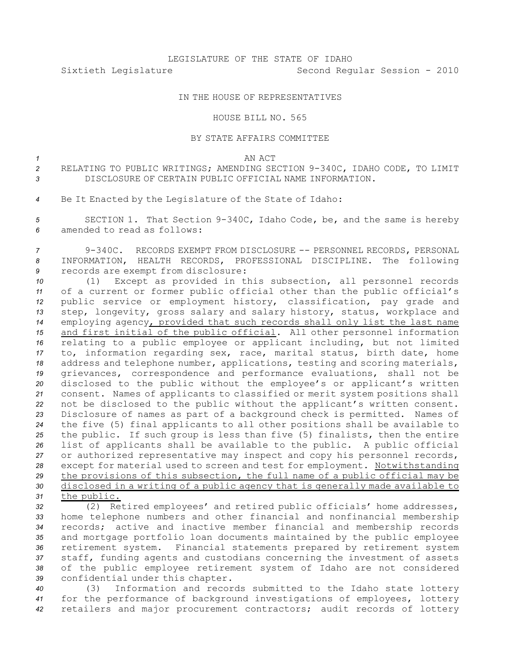Sixtieth Legislature Second Regular Session - 2010

## IN THE HOUSE OF REPRESENTATIVES

## HOUSE BILL NO. 565

## BY STATE AFFAIRS COMMITTEE

*1* AN ACT

2 RELATING TO PUBLIC WRITINGS; AMENDING SECTION 9-340C, IDAHO CODE, TO LIMIT *3* DISCLOSURE OF CERTAIN PUBLIC OFFICIAL NAME INFORMATION.

*<sup>4</sup>* Be It Enacted by the Legislature of the State of Idaho:

5 **SECTION 1.** That Section 9-340C, Idaho Code, be, and the same is hereby *6* amended to read as follows:

7 9-340C. RECORDS EXEMPT FROM DISCLOSURE -- PERSONNEL RECORDS, PERSONAL *<sup>8</sup>* INFORMATION, HEALTH RECORDS, PROFESSIONAL DISCIPLINE. The following *<sup>9</sup>* records are exempt from disclosure:

 (1) Except as provided in this subsection, all personnel records of <sup>a</sup> current or former public official other than the public official's public service or employment history, classification, pay grade and step, longevity, gross salary and salary history, status, workplace and employing agency, provided that such records shall only list the last name and first initial of the public official. All other personnel information relating to <sup>a</sup> public employee or applicant including, but not limited to, information regarding sex, race, marital status, birth date, home address and telephone number, applications, testing and scoring materials, grievances, correspondence and performance evaluations, shall not be disclosed to the public without the employee's or applicant's written consent. Names of applicants to classified or merit system positions shall not be disclosed to the public without the applicant's written consent. Disclosure of names as part of <sup>a</sup> background check is permitted. Names of the five (5) final applicants to all other positions shall be available to the public. If such group is less than five (5) finalists, then the entire list of applicants shall be available to the public. <sup>A</sup> public official or authorized representative may inspect and copy his personnel records, except for material used to screen and test for employment. Notwithstanding the provisions of this subsection, the full name of <sup>a</sup> public official may be disclosed in <sup>a</sup> writing of <sup>a</sup> public agency that is generally made available to the public.

 (2) Retired employees' and retired public officials' home addresses, home telephone numbers and other financial and nonfinancial membership records; active and inactive member financial and membership records and mortgage portfolio loan documents maintained by the public employee retirement system. Financial statements prepared by retirement system staff, funding agents and custodians concerning the investment of assets of the public employee retirement system of Idaho are not considered confidential under this chapter.

*<sup>40</sup>* (3) Information and records submitted to the Idaho state lottery *<sup>41</sup>* for the performance of background investigations of employees, lottery *<sup>42</sup>* retailers and major procurement contractors; audit records of lottery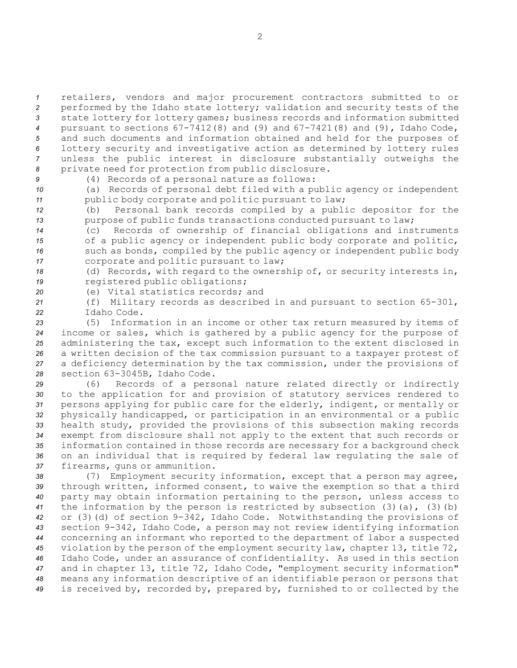retailers, vendors and major procurement contractors submitted to or performed by the Idaho state lottery; validation and security tests of the state lottery for lottery games; business records and information submitted pursuant to sections 67-7412(8) and (9) and 67-7421(8) and (9), Idaho Code, and such documents and information obtained and held for the purposes of lottery security and investigative action as determined by lottery rules unless the public interest in disclosure substantially outweighs the private need for protection from public disclosure.

*<sup>9</sup>* (4) Records of <sup>a</sup> personal nature as follows:

*<sup>10</sup>* (a) Records of personal debt filed with <sup>a</sup> public agency or independent *<sup>11</sup>* public body corporate and politic pursuant to law;

*<sup>12</sup>* (b) Personal bank records compiled by <sup>a</sup> public depositor for the 13 **purpose of public funds transactions conducted pursuant to law;** 

 (c) Records of ownership of financial obligations and instruments of <sup>a</sup> public agency or independent public body corporate and politic, such as bonds, compiled by the public agency or independent public body corporate and politic pursuant to law;

*<sup>18</sup>* (d) Records, with regard to the ownership of, or security interests in, *<sup>19</sup>* registered public obligations;

*20* (e) Vital statistics records; and

21 (f) Military records as described in and pursuant to section 65-301, *22* Idaho Code.

 (5) Information in an income or other tax return measured by items of income or sales, which is gathered by <sup>a</sup> public agency for the purpose of administering the tax, except such information to the extent disclosed in <sup>a</sup> written decision of the tax commission pursuant to <sup>a</sup> taxpayer protest of <sup>a</sup> deficiency determination by the tax commission, under the provisions of 28 section 63-3045B, Idaho Code.

 (6) Records of <sup>a</sup> personal nature related directly or indirectly to the application for and provision of statutory services rendered to persons applying for public care for the elderly, indigent, or mentally or physically handicapped, or participation in an environmental or <sup>a</sup> public health study, provided the provisions of this subsection making records exempt from disclosure shall not apply to the extent that such records or information contained in those records are necessary for <sup>a</sup> background check on an individual that is required by federal law regulating the sale of firearms, guns or ammunition.

 (7) Employment security information, except that <sup>a</sup> person may agree, through written, informed consent, to waive the exemption so that <sup>a</sup> third party may obtain information pertaining to the person, unless access to the information by the person is restricted by subsection (3)(a), (3)(b) 42 or (3)(d) of section 9-342, Idaho Code. Notwithstanding the provisions of section 9342, Idaho Code, <sup>a</sup> person may not review identifying information concerning an informant who reported to the department of labor <sup>a</sup> suspected violation by the person of the employment security law, chapter 13, title 72, Idaho Code, under an assurance of confidentiality. As used in this section and in chapter 13, title 72, Idaho Code, "employment security information" means any information descriptive of an identifiable person or persons that is received by, recorded by, prepared by, furnished to or collected by the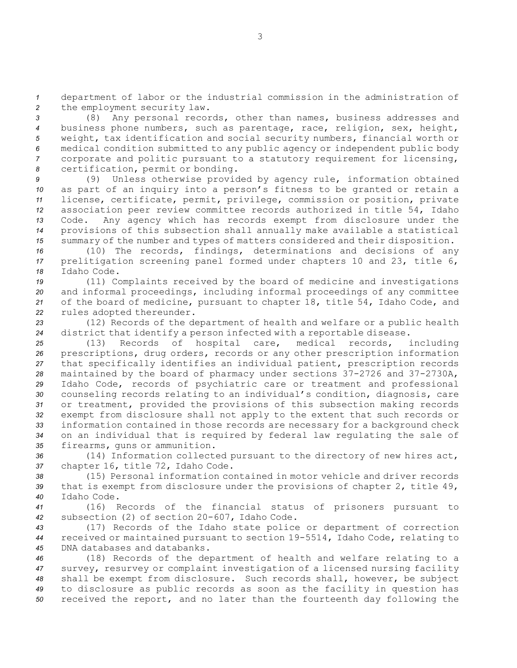*<sup>1</sup>* department of labor or the industrial commission in the administration of *<sup>2</sup>* the employment security law.

 (8) Any personal records, other than names, business addresses and business phone numbers, such as parentage, race, religion, sex, height, weight, tax identification and social security numbers, financial worth or medical condition submitted to any public agency or independent public body corporate and politic pursuant to <sup>a</sup> statutory requirement for licensing, certification, permit or bonding.

 (9) Unless otherwise provided by agency rule, information obtained as part of an inquiry into <sup>a</sup> person's fitness to be granted or retain <sup>a</sup> license, certificate, permit, privilege, commission or position, private association peer review committee records authorized in title 54, Idaho Code. Any agency which has records exempt from disclosure under the provisions of this subsection shall annually make available <sup>a</sup> statistical summary of the number and types of matters considered and their disposition.

*<sup>16</sup>* (10) The records, findings, determinations and decisions of any *<sup>17</sup>* prelitigation screening panel formed under chapters 10 and 23, title 6, *18* Idaho Code.

 (11) Complaints received by the board of medicine and investigations and informal proceedings, including informal proceedings of any committee of the board of medicine, pursuant to chapter 18, title 54, Idaho Code, and rules adopted thereunder.

*<sup>23</sup>* (12) Records of the department of health and welfare or <sup>a</sup> public health *<sup>24</sup>* district that identify <sup>a</sup> person infected with <sup>a</sup> reportable disease.

 (13) Records of hospital care, medical records, including prescriptions, drug orders, records or any other prescription information that specifically identifies an individual patient, prescription records 28 maintained by the board of pharmacy under sections 37-2726 and 37-2730A, Idaho Code, records of psychiatric care or treatment and professional counseling records relating to an individual's condition, diagnosis, care or treatment, provided the provisions of this subsection making records exempt from disclosure shall not apply to the extent that such records or information contained in those records are necessary for <sup>a</sup> background check on an individual that is required by federal law regulating the sale of firearms, guns or ammunition.

*<sup>36</sup>* (14) Information collected pursuant to the directory of new hires act, *<sup>37</sup>* chapter 16, title 72, Idaho Code.

*38* (15) Personal information contained in motor vehicle and driver records *<sup>39</sup>* that is exempt from disclosure under the provisions of chapter 2, title 49, *40* Idaho Code.

*<sup>41</sup>* (16) Records of the financial status of prisoners pursuant to 42 subsection (2) of section 20-607, Idaho Code.

*<sup>43</sup>* (17) Records of the Idaho state police or department of correction *<sup>44</sup>* received or maintained pursuant to section 195514, Idaho Code, relating to *45* DNA databases and databanks.

 (18) Records of the department of health and welfare relating to <sup>a</sup> survey, resurvey or complaint investigation of <sup>a</sup> licensed nursing facility shall be exempt from disclosure. Such records shall, however, be subject to disclosure as public records as soon as the facility in question has received the report, and no later than the fourteenth day following the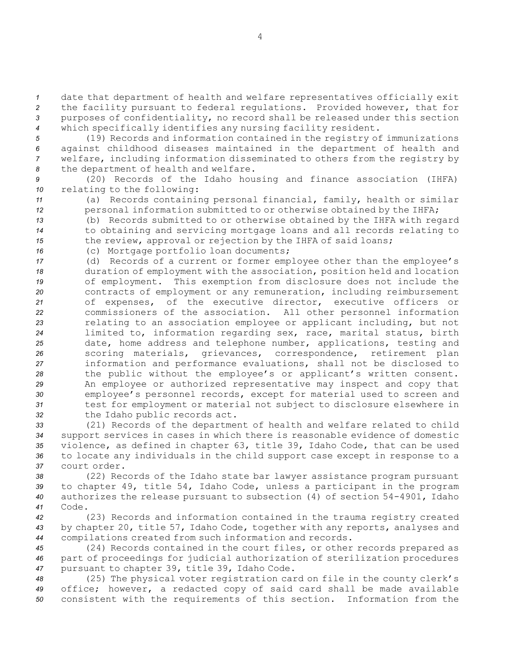date that department of health and welfare representatives officially exit the facility pursuant to federal regulations. Provided however, that for purposes of confidentiality, no record shall be released under this section which specifically identifies any nursing facility resident.

 (19) Records and information contained in the registry of immunizations against childhood diseases maintained in the department of health and welfare, including information disseminated to others from the registry by the department of health and welfare.

*<sup>9</sup>* (20) Records of the Idaho housing and finance association (IHFA) *<sup>10</sup>* relating to the following:

*<sup>11</sup>* (a) Records containing personal financial, family, health or similar 12 **personal information submitted to or otherwise obtained by the IHFA;** 

*<sup>13</sup>* (b) Records submitted to or otherwise obtained by the IHFA with regard *<sup>14</sup>* to obtaining and servicing mortgage loans and all records relating to 15 the review, approval or rejection by the IHFA of said loans;

*<sup>16</sup>* (c) Mortgage portfolio loan documents;

 (d) Records of <sup>a</sup> current or former employee other than the employee's duration of employment with the association, position held and location of employment. This exemption from disclosure does not include the contracts of employment or any remuneration, including reimbursement of expenses, of the executive director, executive officers or commissioners of the association. All other personnel information relating to an association employee or applicant including, but not limited to, information regarding sex, race, marital status, birth date, home address and telephone number, applications, testing and scoring materials, grievances, correspondence, retirement plan information and performance evaluations, shall not be disclosed to the public without the employee's or applicant's written consent. An employee or authorized representative may inspect and copy that employee's personnel records, except for material used to screen and test for employment or material not subject to disclosure elsewhere in the Idaho public records act.

 (21) Records of the department of health and welfare related to child support services in cases in which there is reasonable evidence of domestic violence, as defined in chapter 63, title 39, Idaho Code, that can be used to locate any individuals in the child support case except in response to <sup>a</sup> court order.

*<sup>38</sup>* (22) Records of the Idaho state bar lawyer assistance program pursuant *<sup>39</sup>* to chapter 49, title 54, Idaho Code, unless <sup>a</sup> participant in the program 40 authorizes the release pursuant to subsection (4) of section 54-4901, Idaho *41* Code.

*<sup>42</sup>* (23) Records and information contained in the trauma registry created *<sup>43</sup>* by chapter 20, title 57, Idaho Code, together with any reports, analyses and *<sup>44</sup>* compilations created from such information and records.

*<sup>45</sup>* (24) Records contained in the court files, or other records prepared as *<sup>46</sup>* part of proceedings for judicial authorization of sterilization procedures *<sup>47</sup>* pursuant to chapter 39, title 39, Idaho Code.

*<sup>48</sup>* (25) The physical voter registration card on file in the county clerk's *<sup>49</sup>* office; however, <sup>a</sup> redacted copy of said card shall be made available *<sup>50</sup>* consistent with the requirements of this section. Information from the